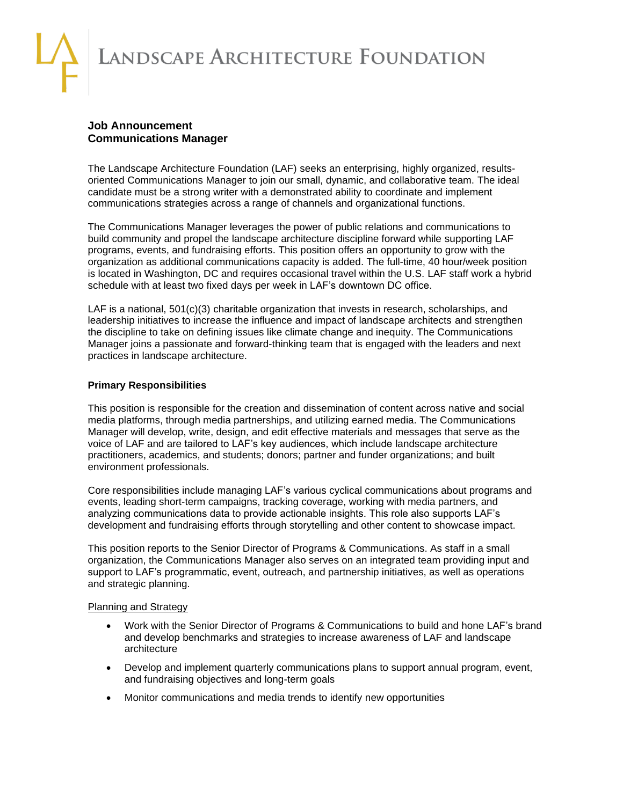LANDSCAPE ARCHITECTURE FOUNDATION

# **Job Announcement Communications Manager**

The Landscape Architecture Foundation (LAF) seeks an enterprising, highly organized, resultsoriented Communications Manager to join our small, dynamic, and collaborative team. The ideal candidate must be a strong writer with a demonstrated ability to coordinate and implement communications strategies across a range of channels and organizational functions.

The Communications Manager leverages the power of public relations and communications to build community and propel the landscape architecture discipline forward while supporting LAF programs, events, and fundraising efforts. This position offers an opportunity to grow with the organization as additional communications capacity is added. The full-time, 40 hour/week position is located in Washington, DC and requires occasional travel within the U.S. LAF staff work a hybrid schedule with at least two fixed days per week in LAF's downtown DC office.

LAF is a national, 501(c)(3) charitable organization that invests in research, scholarships, and leadership initiatives to increase the influence and impact of landscape architects and strengthen the discipline to take on defining issues like climate change and inequity. The Communications Manager joins a passionate and forward-thinking team that is engaged with the leaders and next practices in landscape architecture.

## **Primary Responsibilities**

This position is responsible for the creation and dissemination of content across native and social media platforms, through media partnerships, and utilizing earned media. The Communications Manager will develop, write, design, and edit effective materials and messages that serve as the voice of LAF and are tailored to LAF's key audiences, which include landscape architecture practitioners, academics, and students; donors; partner and funder organizations; and built environment professionals.

Core responsibilities include managing LAF's various cyclical communications about programs and events, leading short-term campaigns, tracking coverage, working with media partners, and analyzing communications data to provide actionable insights. This role also supports LAF's development and fundraising efforts through storytelling and other content to showcase impact.

This position reports to the Senior Director of Programs & Communications. As staff in a small organization, the Communications Manager also serves on an integrated team providing input and support to LAF's programmatic, event, outreach, and partnership initiatives, as well as operations and strategic planning.

### Planning and Strategy

- Work with the Senior Director of Programs & Communications to build and hone LAF's brand and develop benchmarks and strategies to increase awareness of LAF and landscape architecture
- Develop and implement quarterly communications plans to support annual program, event, and fundraising objectives and long-term goals
- Monitor communications and media trends to identify new opportunities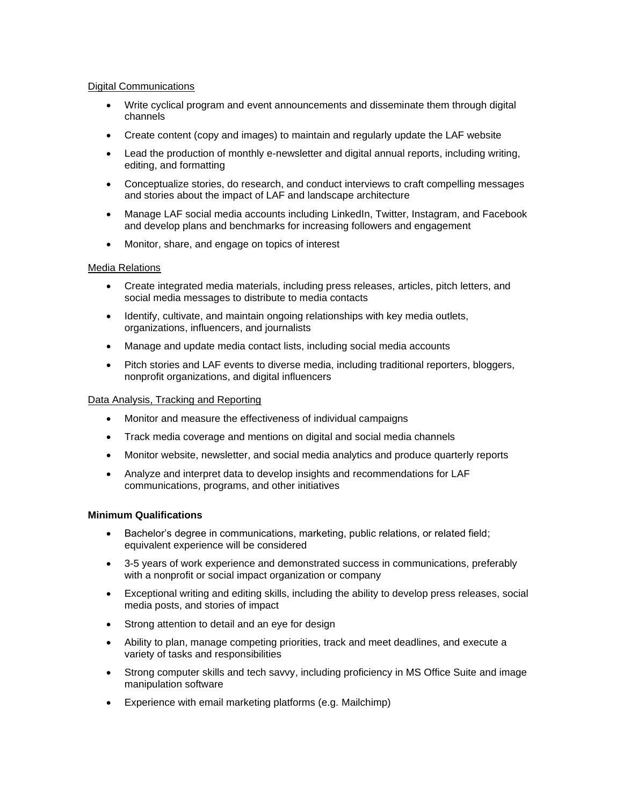## Digital Communications

- Write cyclical program and event announcements and disseminate them through digital channels
- Create content (copy and images) to maintain and regularly update the LAF website
- Lead the production of monthly e-newsletter and digital annual reports, including writing, editing, and formatting
- Conceptualize stories, do research, and conduct interviews to craft compelling messages and stories about the impact of LAF and landscape architecture
- Manage LAF social media accounts including LinkedIn, Twitter, Instagram, and Facebook and develop plans and benchmarks for increasing followers and engagement
- Monitor, share, and engage on topics of interest

## Media Relations

- Create integrated media materials, including press releases, articles, pitch letters, and social media messages to distribute to media contacts
- Identify, cultivate, and maintain ongoing relationships with key media outlets, organizations, influencers, and journalists
- Manage and update media contact lists, including social media accounts
- Pitch stories and LAF events to diverse media, including traditional reporters, bloggers, nonprofit organizations, and digital influencers

## Data Analysis, Tracking and Reporting

- Monitor and measure the effectiveness of individual campaigns
- Track media coverage and mentions on digital and social media channels
- Monitor website, newsletter, and social media analytics and produce quarterly reports
- Analyze and interpret data to develop insights and recommendations for LAF communications, programs, and other initiatives

### **Minimum Qualifications**

- Bachelor's degree in communications, marketing, public relations, or related field; equivalent experience will be considered
- 3-5 years of work experience and demonstrated success in communications, preferably with a nonprofit or social impact organization or company
- Exceptional writing and editing skills, including the ability to develop press releases, social media posts, and stories of impact
- Strong attention to detail and an eye for design
- Ability to plan, manage competing priorities, track and meet deadlines, and execute a variety of tasks and responsibilities
- Strong computer skills and tech savvy, including proficiency in MS Office Suite and image manipulation software
- Experience with email marketing platforms (e.g. Mailchimp)